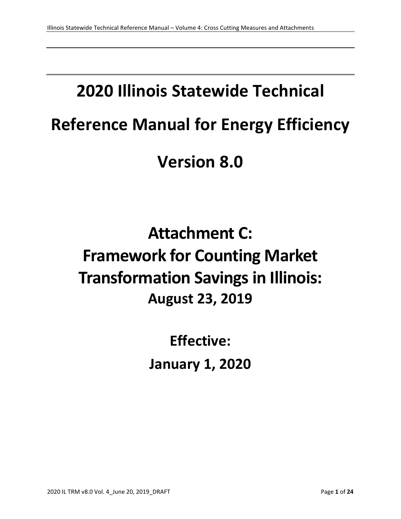# **2020 Illinois Statewide Technical Reference Manual for Energy Efficiency Version 8.0**

## **Attachment C: Framework for Counting Market Transformation Savings in Illinois: August 23, 2019**

**Effective: January 1, 2020**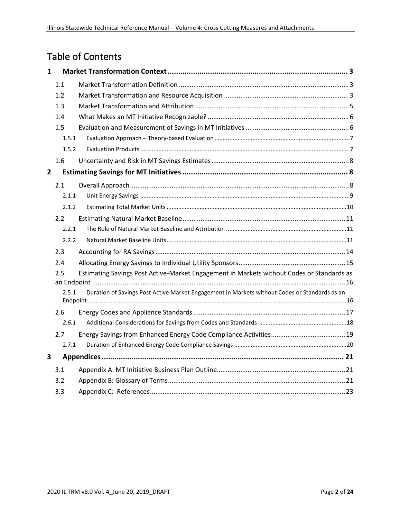## Table of Contents

| $\mathbf{1}$   |                                                                                                        |                                                                                           |  |  |
|----------------|--------------------------------------------------------------------------------------------------------|-------------------------------------------------------------------------------------------|--|--|
|                | 1.1                                                                                                    |                                                                                           |  |  |
|                | 1.2                                                                                                    |                                                                                           |  |  |
|                | 1.3                                                                                                    |                                                                                           |  |  |
|                | 1.4                                                                                                    |                                                                                           |  |  |
|                | 1.5                                                                                                    |                                                                                           |  |  |
|                | 1.5.1                                                                                                  |                                                                                           |  |  |
|                | 1.5.2                                                                                                  |                                                                                           |  |  |
|                | 1.6                                                                                                    |                                                                                           |  |  |
| $\overline{2}$ |                                                                                                        |                                                                                           |  |  |
|                | 2.1                                                                                                    |                                                                                           |  |  |
|                | 2.1.1                                                                                                  |                                                                                           |  |  |
|                | 2.1.2                                                                                                  |                                                                                           |  |  |
|                | 2.2                                                                                                    |                                                                                           |  |  |
|                | 2.2.1                                                                                                  |                                                                                           |  |  |
|                | 2.2.2                                                                                                  |                                                                                           |  |  |
|                | 2.3                                                                                                    |                                                                                           |  |  |
|                | 2.4                                                                                                    |                                                                                           |  |  |
|                | 2.5                                                                                                    | Estimating Savings Post Active-Market Engagement in Markets without Codes or Standards as |  |  |
|                | Duration of Savings Post Active Market Engagement in Markets without Codes or Standards as an<br>2.5.1 |                                                                                           |  |  |
|                | 2.6                                                                                                    |                                                                                           |  |  |
|                | 2.6.1                                                                                                  |                                                                                           |  |  |
|                | 2.7                                                                                                    |                                                                                           |  |  |
|                | 2.7.1                                                                                                  |                                                                                           |  |  |
| 3              |                                                                                                        |                                                                                           |  |  |
|                | 3.1                                                                                                    |                                                                                           |  |  |
|                | 3.2                                                                                                    |                                                                                           |  |  |
|                | 3.3                                                                                                    |                                                                                           |  |  |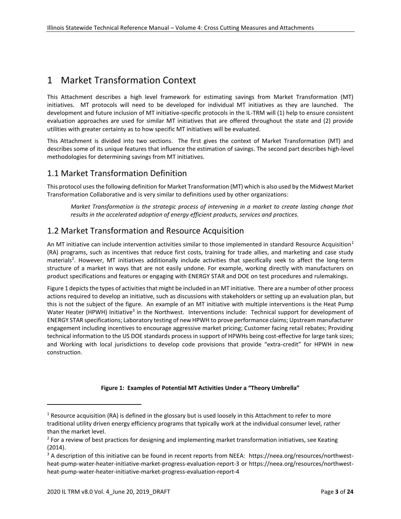## <span id="page-2-0"></span>1 Market Transformation Context

This Attachment describes a high level framework for estimating savings from Market Transformation (MT) initiatives. MT protocols will need to be developed for individual MT initiatives as they are launched. The development and future inclusion of MT initiative-specific protocols in the IL-TRM will (1) help to ensure consistent evaluation approaches are used for similar MT initiatives that are offered throughout the state and (2) provide utilities with greater certainty as to how specific MT initiatives will be evaluated.

This Attachment is divided into two sections. The first gives the context of Market Transformation (MT) and describes some of its unique features that influence the estimation of savings. The second part describes high-level methodologies for determining savings from MT initiatives.

## <span id="page-2-1"></span>1.1 Market Transformation Definition

This protocol uses the following definition for Market Transformation (MT) which is also used by the Midwest Market Transformation Collaborative and is very similar to definitions used by other organizations:

*Market Transformation is the strategic process of intervening in a market to create lasting change that results in the accelerated adoption of energy efficient products, services and practices.* 

## <span id="page-2-2"></span>1.2 Market Transformation and Resource Acquisition

An MT initiative can include intervention activities similar to those implemented in standard Resource Acquisition<sup>1</sup> (RA) programs, such as incentives that reduce first costs, training for trade allies, and marketing and case study materials<sup>2</sup>. However, MT initiatives additionally include activities that specifically seek to affect the long-term structure of a market in ways that are not easily undone. For example, working directly with manufacturers on product specifications and features or engaging with ENERGY STAR and DOE on test procedures and rulemakings.

Figure 1 depicts the types of activities that might be included in an MT initiative. There are a number of other process actions required to develop an initiative, such as discussions with stakeholders or setting up an evaluation plan, but this is not the subject of the figure. An example of an MT initiative with multiple interventions is the Heat Pump Water Heater (HPWH) Initiative<sup>3</sup> in the Northwest. Interventions include: Technical support for development of ENERGY STAR specifications; Laboratory testing of new HPWH to prove performance claims; Upstream manufacturer engagement including incentives to encourage aggressive market pricing; Customer facing retail rebates; Providing technical information to the US DOE standards process in support of HPWHs being cost-effective for large tank sizes; and Working with local jurisdictions to develop code provisions that provide "extra-credit" for HPWH in new construction.

#### **Figure 1: Examples of Potential MT Activities Under a "Theory Umbrella"**

 $1$  Resource acquisition (RA) is defined in the glossary but is used loosely in this Attachment to refer to more traditional utility driven energy efficiency programs that typically work at the individual consumer level, rather than the market level.

<sup>&</sup>lt;sup>2</sup> For a review of best practices for designing and implementing market transformation initiatives, see Keating (2014).

<sup>&</sup>lt;sup>3</sup> A description of this initiative can be found in recent reports from NEEA: [https://neea.org/resources/northwest](https://neea.org/resources/northwest-heat-pump-water-heater-initiative-market-progress-evaluation-report-3)[heat-pump-water-heater-initiative-market-progress-evaluation-report-3](https://neea.org/resources/northwest-heat-pump-water-heater-initiative-market-progress-evaluation-report-3) or [https://neea.org/resources/northwest](https://neea.org/resources/northwest-heat-pump-water-heater-initiative-market-progress-evaluation-report-4)[heat-pump-water-heater-initiative-market-progress-evaluation-report-4](https://neea.org/resources/northwest-heat-pump-water-heater-initiative-market-progress-evaluation-report-4)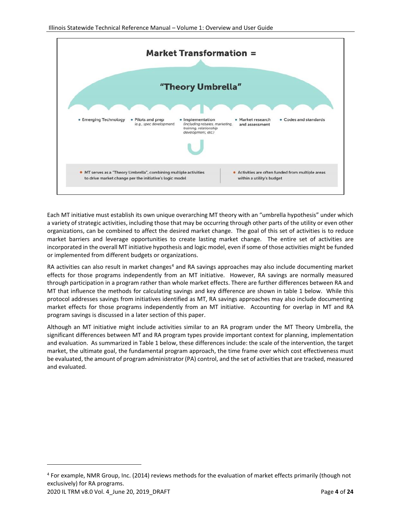

Each MT initiative must establish its own unique overarching MT theory with an "umbrella hypothesis" under which a variety of strategic activities, including those that may be occurring through other parts of the utility or even other organizations, can be combined to affect the desired market change. The goal of this set of activities is to reduce market barriers and leverage opportunities to create lasting market change. The entire set of activities are incorporated in the overall MT initiative hypothesis and logic model, even if some of those activities might be funded or implemented from different budgets or organizations.

RA activities can also result in market changes<sup>4</sup> and RA savings approaches may also include documenting market effects for those programs independently from an MT initiative. However, RA savings are normally measured through participation in a program rather than whole market effects. There are further differences between RA and MT that influence the methods for calculating savings and key difference are shown in table 1 below. While this protocol addresses savings from initiatives identified as MT, RA savings approaches may also include documenting market effects for those programs independently from an MT initiative. Accounting for overlap in MT and RA program savings is discussed in a later section of this paper.

Although an MT initiative might include activities similar to an RA program under the MT Theory Umbrella, the significant differences between MT and RA program types provide important context for planning, implementation and evaluation. As summarized in Table 1 below, these differences include: the scale of the intervention, the target market, the ultimate goal, the fundamental program approach, the time frame over which cost effectiveness must be evaluated, the amount of program administrator (PA) control, and the set of activities that are tracked, measured and evaluated.

<sup>4</sup> For example, NMR Group, Inc. (2014) reviews methods for the evaluation of market effects primarily (though not exclusively) for RA programs.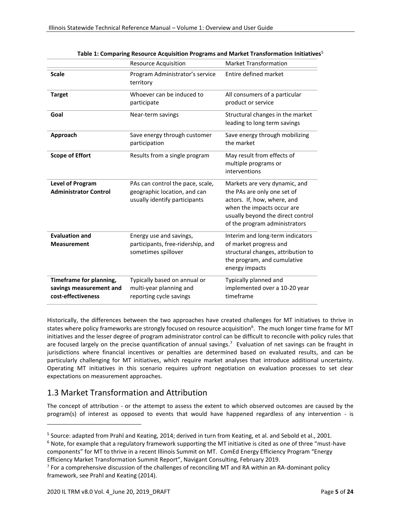|                                                                          | <b>Resource Acquisition</b>                                                                       | <b>Market Transformation</b>                                                                                                                                                                    |
|--------------------------------------------------------------------------|---------------------------------------------------------------------------------------------------|-------------------------------------------------------------------------------------------------------------------------------------------------------------------------------------------------|
| <b>Scale</b>                                                             | Program Administrator's service<br>territory                                                      | Entire defined market                                                                                                                                                                           |
| <b>Target</b>                                                            | Whoever can be induced to<br>participate                                                          | All consumers of a particular<br>product or service                                                                                                                                             |
| Goal                                                                     | Near-term savings                                                                                 | Structural changes in the market<br>leading to long term savings                                                                                                                                |
| Approach                                                                 | Save energy through customer<br>participation                                                     | Save energy through mobilizing<br>the market                                                                                                                                                    |
| <b>Scope of Effort</b>                                                   | Results from a single program                                                                     | May result from effects of<br>multiple programs or<br>interventions                                                                                                                             |
| <b>Level of Program</b><br><b>Administrator Control</b>                  | PAs can control the pace, scale,<br>geographic location, and can<br>usually identify participants | Markets are very dynamic, and<br>the PAs are only one set of<br>actors. If, how, where, and<br>when the impacts occur are<br>usually beyond the direct control<br>of the program administrators |
| <b>Evaluation and</b><br><b>Measurement</b>                              | Energy use and savings,<br>participants, free-ridership, and<br>sometimes spillover               | Interim and long-term indicators<br>of market progress and<br>structural changes, attribution to<br>the program, and cumulative<br>energy impacts                                               |
| Timeframe for planning,<br>savings measurement and<br>cost-effectiveness | Typically based on annual or<br>multi-year planning and<br>reporting cycle savings                | Typically planned and<br>implemented over a 10-20 year<br>timeframe                                                                                                                             |

|  | Table 1: Comparing Resource Acquisition Programs and Market Transformation Initiatives <sup>5</sup> |  |
|--|-----------------------------------------------------------------------------------------------------|--|
|--|-----------------------------------------------------------------------------------------------------|--|

Historically, the differences between the two approaches have created challenges for MT initiatives to thrive in states where policy frameworks are strongly focused on resource acquisition<sup>6</sup>. The much longer time frame for MT initiatives and the lesser degree of program administrator control can be difficult to reconcile with policy rules that are focused largely on the precise quantification of annual savings.<sup>7</sup> Evaluation of net savings can be fraught in jurisdictions where financial incentives or penalties are determined based on evaluated results, and can be particularly challenging for MT initiatives, which require market analyses that introduce additional uncertainty. Operating MT initiatives in this scenario requires upfront negotiation on evaluation processes to set clear expectations on measurement approaches.

## <span id="page-4-0"></span>1.3 Market Transformation and Attribution

The concept of attribution *-* or the attempt to assess the extent to which observed outcomes are caused by the program(s) of interest as opposed to events that would have happened regardless of any intervention - is

 $6$  Note, for example that a regulatory framework supporting the MT initiative is cited as one of three "must-have components" for MT to thrive in a recent Illinois Summit on MT. ComEd Energy Efficiency Program "Energy Efficiency Market Transformation Summit Report", Navigant Consulting, February 2019.

<sup>5</sup> Source: adapted from Prahl and Keating, 2014; derived in turn from Keating, et al. and Sebold et al., 2001.

 $7$  For a comprehensive discussion of the challenges of reconciling MT and RA within an RA-dominant policy framework, see Prahl and Keating (2014).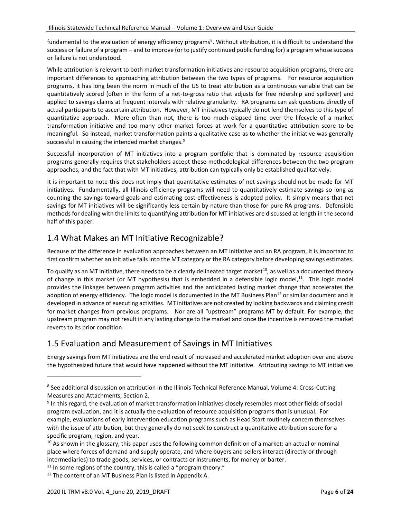fundamental to the evaluation of energy efficiency programs<sup>8</sup>. Without attribution, it is difficult to understand the success or failure of a program – and to improve (or to justify continued public funding for) a program whose success or failure is not understood.

While attribution is relevant to both market transformation initiatives and resource acquisition programs, there are important differences to approaching attribution between the two types of programs. For resource acquisition programs, it has long been the norm in much of the US to treat attribution as a continuous variable that can be quantitatively scored (often in the form of a net-to-gross ratio that adjusts for free ridership and spillover) and applied to savings claims at frequent intervals with relative granularity. RA programs can ask questions directly of actual participants to ascertain attribution. However, MT initiatives typically do not lend themselves to this type of quantitative approach. More often than not, there is too much elapsed time over the lifecycle of a market transformation initiative and too many other market forces at work for a quantitative attribution score to be meaningful. So instead, market transformation paints a qualitative case as to whether the initiative was generally successful in causing the intended market changes.<sup>9</sup>

Successful incorporation of MT initiatives into a program portfolio that is dominated by resource acquisition programs generally requires that stakeholders accept these methodological differences between the two program approaches, and the fact that with MT initiatives, attribution can typically only be established qualitatively.

It is important to note this does not imply that quantitative estimates of net savings should not be made for MT initiatives. Fundamentally, all Illinois efficiency programs will need to quantitatively estimate savings so long as counting the savings toward goals and estimating cost-effectiveness is adopted policy. It simply means that net savings for MT initiatives will be significantly less certain by nature than those for pure RA programs. Defensible methods for dealing with the limits to quantifying attribution for MT initiatives are discussed at length in the second half of this paper.

## <span id="page-5-0"></span>1.4 What Makes an MT Initiative Recognizable?

Because of the difference in evaluation approaches between an MT initiative and an RA program, it is important to first confirm whether an initiative falls into the MT category or the RA category before developing savings estimates.

To qualify as an MT initiative, there needs to be a clearly delineated target market $^{10}$ , as well as a documented theory of change in this market (or MT hypothesis) that is embedded in a defensible logic model,<sup>11</sup>. This logic model provides the linkages between program activities and the anticipated lasting market change that accelerates the adoption of energy efficiency. The logic model is documented in the MT Business Plan<sup>12</sup> or similar document and is developed in advance of executing activities. MT initiatives are not created by looking backwards and claiming credit for market changes from previous programs. Nor are all "upstream" programs MT by default. For example, the upstream program may not result in any lasting change to the market and once the incentive is removed the market reverts to its prior condition.

### <span id="page-5-1"></span>1.5 Evaluation and Measurement of Savings in MT Initiatives

Energy savings from MT initiatives are the end result of increased and accelerated market adoption over and above the hypothesized future that would have happened without the MT initiative. Attributing savings to MT initiatives

<sup>&</sup>lt;sup>8</sup> See additional discussion on attribution in the Illinois Technical Reference Manual, Volume 4: Cross-Cutting Measures and Attachments, Section 2.

<sup>&</sup>lt;sup>9</sup> In this regard, the evaluation of market transformation initiatives closely resembles most other fields of social program evaluation, and it is actually the evaluation of resource acquisition programs that is unusual. For example, evaluations of early intervention education programs such as Head Start routinely concern themselves with the issue of attribution, but they generally do not seek to construct a quantitative attribution score for a specific program, region, and year.

 $10$  As shown in the glossary, this paper uses the following common definition of a market: an actual or nominal place where forces of demand and supply operate, and where buyers and sellers interact (directly or through intermediaries) to trade goods, services, or contracts or instruments, for money or barter.

 $11$  In some regions of the country, this is called a "program theory."

<sup>&</sup>lt;sup>12</sup> The content of an MT Business Plan is listed in Appendix A.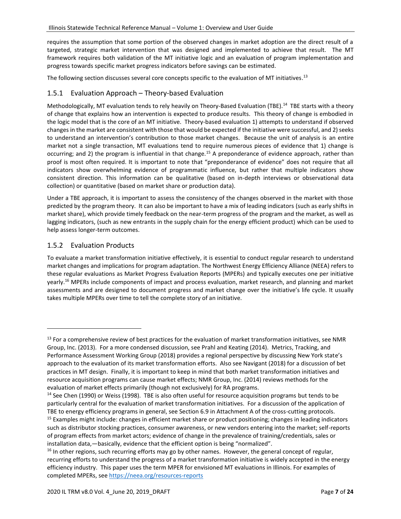requires the assumption that some portion of the observed changes in market adoption are the direct result of a targeted, strategic market intervention that was designed and implemented to achieve that result. The MT framework requires both validation of the MT initiative logic and an evaluation of program implementation and progress towards specific market progress indicators before savings can be estimated.

The following section discusses several core concepts specific to the evaluation of MT initiatives.  $^{13}$ 

#### <span id="page-6-0"></span>1.5.1 Evaluation Approach – Theory-based Evaluation

Methodologically, MT evaluation tends to rely heavily on Theory-Based Evaluation (TBE).<sup>14</sup> TBE starts with a theory of change that explains how an intervention is expected to produce results. This theory of change is embodied in the logic model that is the core of an MT initiative. Theory-based evaluation 1) attempts to understand if observed changes in the market are consistent with those that would be expected if the initiative were successful, and 2) seeks to understand an intervention's contribution to those market changes. Because the unit of analysis is an entire market not a single transaction, MT evaluations tend to require numerous pieces of evidence that 1) change is occurring; and 2) the program is influential in that change.<sup>15</sup> A preponderance of evidence approach, rather than proof is most often required. It is important to note that "preponderance of evidence" does not require that all indicators show overwhelming evidence of programmatic influence, but rather that multiple indicators show consistent direction. This information can be qualitative (based on in-depth interviews or observational data collection) or quantitative (based on market share or production data).

Under a TBE approach, it is important to assess the consistency of the changes observed in the market with those predicted by the program theory. It can also be important to have a mix of leading indicators (such as early shifts in market share), which provide timely feedback on the near-term progress of the program and the market, as well as lagging indicators, (such as new entrants in the supply chain for the energy efficient product) which can be used to help assess longer-term outcomes.

#### <span id="page-6-1"></span>1.5.2 Evaluation Products

To evaluate a market transformation initiative effectively, it is essential to conduct regular research to understand market changes and implications for program adaptation. The Northwest Energy Efficiency Alliance (NEEA) refers to these regular evaluations as Market Progress Evaluation Reports (MPERs) and typically executes one per initiative yearly. <sup>16</sup> MPERs include components of impact and process evaluation, market research, and planning and market assessments and are designed to document progress and market change over the initiative's life cycle. It usually takes multiple MPERs over time to tell the complete story of an initiative.

 $13$  For a comprehensive review of best practices for the evaluation of market transformation initiatives, see NMR Group, Inc. (2013). For a more condensed discussion, see Prahl and Keating (2014). Metrics, Tracking, and Performance Assessment Working Group (2018) provides a regional perspective by discussing New York state's approach to the evaluation of its market transformation efforts. Also see Navigant (2018) for a discussion of bet practices in MT design. Finally, it is important to keep in mind that both market transformation initiatives and resource acquisition programs can cause market effects; NMR Group, Inc. (2014) reviews methods for the evaluation of market effects primarily (though not exclusively) for RA programs.

<sup>&</sup>lt;sup>14</sup> See Chen (1990) or Weiss (1998). TBE is also often useful for resource acquisition programs but tends to be particularly central for the evaluation of market transformation initiatives. For a discussion of the application of TBE to energy efficiency programs in general, see Section 6.9 in Attachment A of the cross-cutting protocols. <sup>15</sup> Examples might include: changes in efficient market share or product positioning; changes in leading indicators such as distributor stocking practices, consumer awareness, or new vendors entering into the market; self-reports

of program effects from market actors; evidence of change in the prevalence of training/credentials, sales or installation data,—basically, evidence that the efficient option is being "normalized".

 $16$  In other regions, such recurring efforts may go by other names. However, the general concept of regular, recurring efforts to understand the progress of a market transformation initiative is widely accepted in the energy efficiency industry. This paper uses the term MPER for envisioned MT evaluations in Illinois. For examples of completed MPERs, se[e https://neea.org/resources-reports](https://neea.org/resources-reports)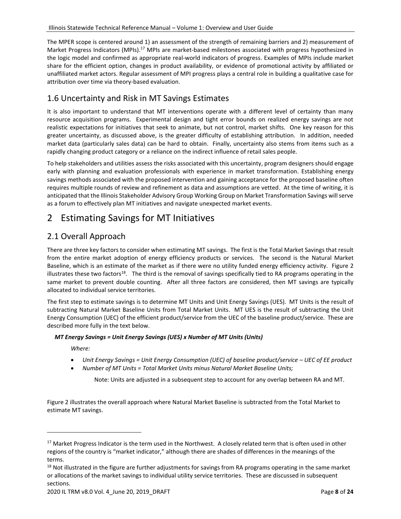The MPER scope is centered around 1) an assessment of the strength of remaining barriers and 2) measurement of Market Progress Indicators (MPIs).<sup>17</sup> MPIs are market-based milestones associated with progress hypothesized in the logic model and confirmed as appropriate real-world indicators of progress. Examples of MPIs include market share for the efficient option, changes in product availability, or evidence of promotional activity by affiliated or unaffiliated market actors. Regular assessment of MPI progress plays a central role in building a qualitative case for attribution over time via theory-based evaluation.

## <span id="page-7-0"></span>1.6 Uncertainty and Risk in MT Savings Estimates

It is also important to understand that MT interventions operate with a different level of certainty than many resource acquisition programs. Experimental design and tight error bounds on realized energy savings are not realistic expectations for initiatives that seek to animate, but not control, market shifts. One key reason for this greater uncertainty, as discussed above, is the greater difficulty of establishing attribution. In addition, needed market data (particularly sales data) can be hard to obtain. Finally, uncertainty also stems from items such as a rapidly changing product category or a reliance on the indirect influence of retail sales people.

To help stakeholders and utilities assess the risks associated with this uncertainty, program designers should engage early with planning and evaluation professionals with experience in market transformation. Establishing energy savings methods associated with the proposed intervention and gaining acceptance for the proposed baseline often requires multiple rounds of review and refinement as data and assumptions are vetted. At the time of writing, it is anticipated that the Illinois Stakeholder Advisory Group Working Group on Market Transformation Savings will serve as a forum to effectively plan MT initiatives and navigate unexpected market events.

## <span id="page-7-1"></span>2 Estimating Savings for MT Initiatives

## <span id="page-7-2"></span>2.1 Overall Approach

There are three key factors to consider when estimating MT savings. The first is the Total Market Savings that result from the entire market adoption of energy efficiency products or services. The second is the Natural Market Baseline, which is an estimate of the market as if there were no utility funded energy efficiency activity. Figure 2 illustrates these two factors<sup>18</sup>. The third is the removal of savings specifically tied to RA programs operating in the same market to prevent double counting. After all three factors are considered, then MT savings are typically allocated to individual service territories.

The first step to estimate savings is to determine MT Units and Unit Energy Savings (UES). MT Units is the result of subtracting Natural Market Baseline Units from Total Market Units. MT UES is the result of subtracting the Unit Energy Consumption (UEC) of the efficient product/service from the UEC of the baseline product/service. These are described more fully in the text below.

#### *MT Energy Savings = Unit Energy Savings (UES) x Number of MT Units (Units)*

*Where:*

- *Unit Energy Savings = Unit Energy Consumption (UEC) of baseline product/service – UEC of EE product*
- *Number of MT Units = Total Market Units minus Natural Market Baseline Units;*

Note: Units are adjusted in a subsequent step to account for any overlap between RA and MT.

Figure 2 illustrates the overall approach where Natural Market Baseline is subtracted from the Total Market to estimate MT savings.

<sup>&</sup>lt;sup>17</sup> Market Progress Indicator is the term used in the Northwest. A closely related term that is often used in other regions of the country is "market indicator," although there are shades of differences in the meanings of the terms.

 $18$  Not illustrated in the figure are further adjustments for savings from RA programs operating in the same market or allocations of the market savings to individual utility service territories. These are discussed in subsequent sections.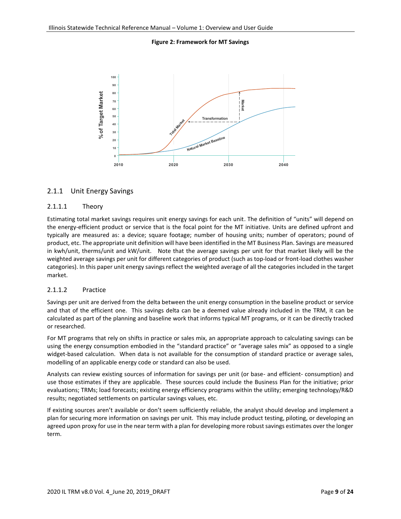**Figure 2: Framework for MT Savings**



#### <span id="page-8-0"></span>2.1.1 Unit Energy Savings

#### 2.1.1.1 Theory

Estimating total market savings requires unit energy savings for each unit. The definition of "units" will depend on the energy-efficient product or service that is the focal point for the MT initiative. Units are defined upfront and typically are measured as: a device; square footage; number of housing units; number of operators; pound of product, etc. The appropriate unit definition will have been identified in the MT Business Plan. Savings are measured in kwh/unit, therms/unit and kW/unit. Note that the average savings per unit for that market likely will be the weighted average savings per unit for different categories of product (such as top-load or front-load clothes washer categories). In this paper unit energy savings reflect the weighted average of all the categories included in the target market.

#### 2.1.1.2 Practice

Savings per unit are derived from the delta between the unit energy consumption in the baseline product or service and that of the efficient one. This savings delta can be a deemed value already included in the TRM, it can be calculated as part of the planning and baseline work that informs typical MT programs, or it can be directly tracked or researched.

For MT programs that rely on shifts in practice or sales mix, an appropriate approach to calculating savings can be using the energy consumption embodied in the "standard practice" or "average sales mix" as opposed to a single widget-based calculation. When data is not available for the consumption of standard practice or average sales, modelling of an applicable energy code or standard can also be used.

Analysts can review existing sources of information for savings per unit (or base- and efficient- consumption) and use those estimates if they are applicable. These sources could include the Business Plan for the initiative; prior evaluations; TRMs; load forecasts; existing energy efficiency programs within the utility; emerging technology/R&D results; negotiated settlements on particular savings values, etc.

If existing sources aren't available or don't seem sufficiently reliable, the analyst should develop and implement a plan for securing more information on savings per unit. This may include product testing, piloting, or developing an agreed upon proxy for use in the near term with a plan for developing more robust savings estimates over the longer term.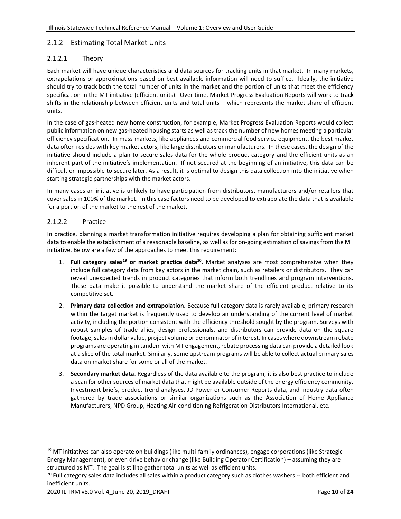#### <span id="page-9-0"></span>2.1.2 Estimating Total Market Units

#### 2.1.2.1 Theory

Each market will have unique characteristics and data sources for tracking units in that market. In many markets, extrapolations or approximations based on best available information will need to suffice. Ideally, the initiative should try to track both the total number of units in the market and the portion of units that meet the efficiency specification in the MT initiative (efficient units). Over time, Market Progress Evaluation Reports will work to track shifts in the relationship between efficient units and total units – which represents the market share of efficient units.

In the case of gas-heated new home construction, for example, Market Progress Evaluation Reports would collect public information on new gas-heated housing starts as well as track the number of new homes meeting a particular efficiency specification. In mass markets, like appliances and commercial food service equipment, the best market data often resides with key market actors, like large distributors or manufacturers. In these cases, the design of the initiative should include a plan to secure sales data for the whole product category and the efficient units as an inherent part of the initiative's implementation. If not secured at the beginning of an initiative, this data can be difficult or impossible to secure later. As a result, it is optimal to design this data collection into the initiative when starting strategic partnerships with the market actors.

In many cases an initiative is unlikely to have participation from distributors, manufacturers and/or retailers that cover sales in 100% of the market. In this case factors need to be developed to extrapolate the data that is available for a portion of the market to the rest of the market.

#### 2.1.2.2 Practice

In practice, planning a market transformation initiative requires developing a plan for obtaining sufficient market data to enable the establishment of a reasonable baseline, as well as for on-going estimation of savings from the MT initiative. Below are a few of the approaches to meet this requirement:

- 1. **Full category sales<sup>19</sup> or market practice data**<sup>20</sup>. Market analyses are most comprehensive when they include full category data from key actors in the market chain, such as retailers or distributors. They can reveal unexpected trends in product categories that inform both trendlines and program interventions. These data make it possible to understand the market share of the efficient product relative to its competitive set.
- 2. **Primary data collection and extrapolation.** Because full category data is rarely available, primary research within the target market is frequently used to develop an understanding of the current level of market activity, including the portion consistent with the efficiency threshold sought by the program. Surveys with robust samples of trade allies, design professionals, and distributors can provide data on the square footage, sales in dollar value, project volume or denominator of interest. In cases where downstream rebate programs are operating in tandem with MT engagement, rebate processing data can provide a detailed look at a slice of the total market. Similarly, some upstream programs will be able to collect actual primary sales data on market share for some or all of the market.
- 3. **Secondary market data**. Regardless of the data available to the program, it is also best practice to include a scan for other sources of market data that might be available outside of the energy efficiency community. Investment briefs, product trend analyses, JD Power or Consumer Reports data, and industry data often gathered by trade associations or similar organizations such as the Association of Home Appliance Manufacturers, NPD Group, Heating Air-conditioning Refrigeration Distributors International, etc.

 $19$  MT initiatives can also operate on buildings (like multi-family ordinances), engage corporations (like Strategic Energy Management), or even drive behavior change (like Building Operator Certification) – assuming they are structured as MT. The goal is still to gather total units as well as efficient units.

 $20$  Full category sales data includes all sales within a product category such as clothes washers  $-$  both efficient and inefficient units.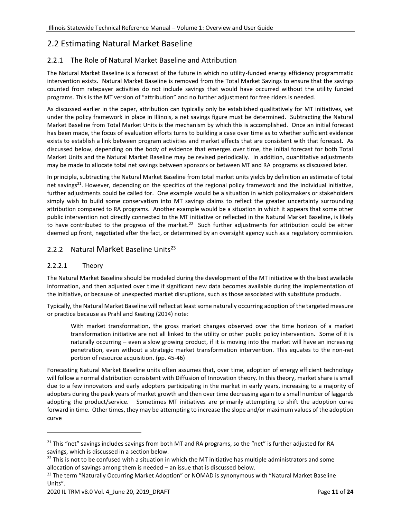## <span id="page-10-0"></span>2.2 Estimating Natural Market Baseline

#### <span id="page-10-1"></span>2.2.1 The Role of Natural Market Baseline and Attribution

The Natural Market Baseline is a forecast of the future in which no utility-funded energy efficiency programmatic intervention exists. Natural Market Baseline is removed from the Total Market Savings to ensure that the savings counted from ratepayer activities do not include savings that would have occurred without the utility funded programs. This is the MT version of "attribution" and no further adjustment for free riders is needed.

As discussed earlier in the paper, attribution can typically only be established qualitatively for MT initiatives, yet under the policy framework in place in Illinois, a net savings figure must be determined. Subtracting the Natural Market Baseline from Total Market Units is the mechanism by which this is accomplished. Once an initial forecast has been made, the focus of evaluation efforts turns to building a case over time as to whether sufficient evidence exists to establish a link between program activities and market effects that are consistent with that forecast. As discussed below, depending on the body of evidence that emerges over time, the initial forecast for both Total Market Units and the Natural Market Baseline may be revised periodically. In addition, quantitative adjustments may be made to allocate total net savings between sponsors or between MT and RA programs as discussed later.

In principle, subtracting the Natural Market Baseline from total market units yields by definition an estimate of total net savings<sup>21</sup>. However, depending on the specifics of the regional policy framework and the individual initiative, further adjustments could be called for. One example would be a situation in which policymakers or stakeholders simply wish to build some conservatism into MT savings claims to reflect the greater uncertainty surrounding attribution compared to RA programs. Another example would be a situation in which it appears that some other public intervention not directly connected to the MT initiative or reflected in the Natural Market Baseline, is likely to have contributed to the progress of the market.<sup>22</sup> Such further adjustments for attribution could be either deemed up front, negotiated after the fact, or determined by an oversight agency such as a regulatory commission.

#### <span id="page-10-2"></span>2.2.2 Natural Market Baseline Units<sup>23</sup>

#### 2.2.2.1 Theory

The Natural Market Baseline should be modeled during the development of the MT initiative with the best available information, and then adjusted over time if significant new data becomes available during the implementation of the initiative, or because of unexpected market disruptions, such as those associated with substitute products.

Typically, the Natural Market Baseline will reflect at least some naturally occurring adoption of the targeted measure or practice because as Prahl and Keating (2014) note:

With market transformation, the gross market changes observed over the time horizon of a market transformation initiative are not all linked to the utility or other public policy intervention. Some of it is naturally occurring – even a slow growing product, if it is moving into the market will have an increasing penetration, even without a strategic market transformation intervention. This equates to the non-net portion of resource acquisition. (pp. 45-46)

Forecasting Natural Market Baseline units often assumes that, over time, adoption of energy efficient technology will follow a normal distribution consistent with Diffusion of Innovation theory. In this theory, market share is small due to a few innovators and early adopters participating in the market in early years, increasing to a majority of adopters during the peak years of market growth and then over time decreasing again to a small number of laggards adopting the product/service. Sometimes MT initiatives are primarily attempting to shift the adoption curve forward in time. Other times, they may be attempting to increase the slope and/or maximum values of the adoption curve

<sup>&</sup>lt;sup>21</sup> This "net" savings includes savings from both MT and RA programs, so the "net" is further adjusted for RA savings, which is discussed in a section below.

<sup>&</sup>lt;sup>22</sup> This is not to be confused with a situation in which the MT initiative has multiple administrators and some allocation of savings among them is needed – an issue that is discussed below.

<sup>&</sup>lt;sup>23</sup> The term "Naturally Occurring Market Adoption" or NOMAD is synonymous with "Natural Market Baseline Units".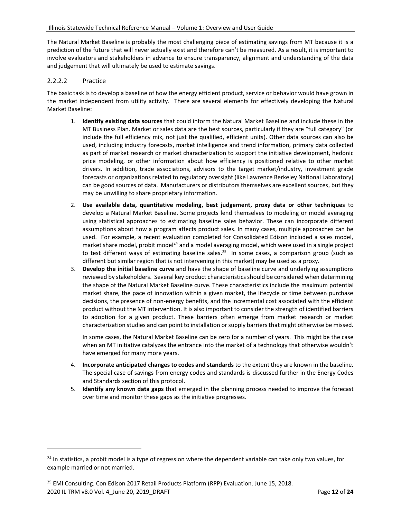The Natural Market Baseline is probably the most challenging piece of estimating savings from MT because it is a prediction of the future that will never actually exist and therefore can't be measured. As a result, it is important to involve evaluators and stakeholders in advance to ensure transparency, alignment and understanding of the data and judgement that will ultimately be used to estimate savings.

#### 2.2.2.2 Practice

The basic task is to develop a baseline of how the energy efficient product, service or behavior would have grown in the market independent from utility activity. There are several elements for effectively developing the Natural Market Baseline:

- 1. **Identify existing data sources** that could inform the Natural Market Baseline and include these in the MT Business Plan. Market or sales data are the best sources, particularly if they are "full category" (or include the full efficiency mix, not just the qualified, efficient units). Other data sources can also be used, including industry forecasts, market intelligence and trend information, primary data collected as part of market research or market characterization to support the initiative development, hedonic price modeling, or other information about how efficiency is positioned relative to other market drivers. In addition, trade associations, advisors to the target market/industry, investment grade forecasts or organizations related to regulatory oversight (like Lawrence Berkeley National Laboratory) can be good sources of data. Manufacturers or distributors themselves are excellent sources, but they may be unwilling to share proprietary information.
- 2. **Use available data, quantitative modeling, best judgement, proxy data or other techniques** to develop a Natural Market Baseline. Some projects lend themselves to modeling or model averaging using statistical approaches to estimating baseline sales behavior. These can incorporate different assumptions about how a program affects product sales. In many cases, multiple approaches can be used. For example, a recent evaluation completed for Consolidated Edison included a sales model, market share model, probit model<sup>24</sup> and a model averaging model, which were used in a single project to test different ways of estimating baseline sales.<sup>25</sup> In some cases, a comparison group (such as different but similar region that is not intervening in this market) may be used as a proxy.
- 3. **Develop the initial baseline curve** and have the shape of baseline curve and underlying assumptions reviewed by stakeholders. Several key product characteristics should be considered when determining the shape of the Natural Market Baseline curve. These characteristics include the maximum potential market share, the pace of innovation within a given market, the lifecycle or time between purchase decisions, the presence of non-energy benefits, and the incremental cost associated with the efficient product without the MT intervention. It is also important to consider the strength of identified barriers to adoption for a given product. These barriers often emerge from market research or market characterization studies and can point to installation or supply barriers that might otherwise be missed.

In some cases, the Natural Market Baseline can be zero for a number of years. This might be the case when an MT initiative catalyzes the entrance into the market of a technology that otherwise wouldn't have emerged for many more years.

- 4. **Incorporate anticipated changes to codes and standards** to the extent they are known in the baseline**.**  The special case of savings from energy codes and standards is discussed further in the Energy Codes and Standards section of this protocol.
- 5. **Identify any known data gaps** that emerged in the planning process needed to improve the forecast over time and monitor these gaps as the initiative progresses.

<sup>&</sup>lt;sup>24</sup> In [statistics,](https://en.wikipedia.org/wiki/Statistics) a probit model is a type of [regression](https://en.wikipedia.org/wiki/Regression_analysis) where the [dependent variable](https://en.wikipedia.org/wiki/Dependent_variable) can take only two values, for example married or not married.

<sup>2020</sup> IL TRM v8.0 Vol. 4\_June 20, 2019\_DRAFT Page **12** of **24** <sup>25</sup> EMI Consulting. Con Edison 2017 Retail Products Platform (RPP) Evaluation. June 15, 2018.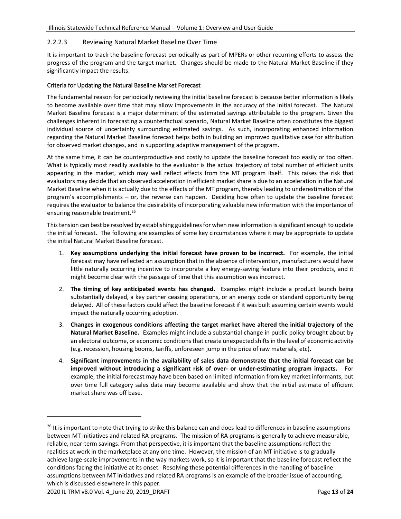#### 2.2.2.3 Reviewing Natural Market Baseline Over Time

It is important to track the baseline forecast periodically as part of MPERs or other recurring efforts to assess the progress of the program and the target market. Changes should be made to the Natural Market Baseline if they significantly impact the results.

#### Criteria for Updating the Natural Baseline Market Forecast

The fundamental reason for periodically reviewing the initial baseline forecast is because better information is likely to become available over time that may allow improvements in the accuracy of the initial forecast. The Natural Market Baseline forecast is a major determinant of the estimated savings attributable to the program. Given the challenges inherent in forecasting a counterfactual scenario, Natural Market Baseline often constitutes the biggest individual source of uncertainty surrounding estimated savings. As such, incorporating enhanced information regarding the Natural Market Baseline forecast helps both in building an improved qualitative case for attribution for observed market changes, and in supporting adaptive management of the program.

At the same time, it can be counterproductive and costly to update the baseline forecast too easily or too often. What is typically most readily available to the evaluator is the actual trajectory of total number of efficient units appearing in the market, which may well reflect effects from the MT program itself. This raises the risk that evaluators may decide that an observed acceleration in efficient market share is due to an acceleration in the Natural Market Baseline when it is actually due to the effects of the MT program, thereby leading to underestimation of the program's accomplishments – or, the reverse can happen. Deciding how often to update the baseline forecast requires the evaluator to balance the desirability of incorporating valuable new information with the importance of ensuring reasonable treatment.<sup>26</sup>

This tension can best be resolved by establishing guidelines for when new information is significant enough to update the initial forecast. The following are examples of some key circumstances where it may be appropriate to update the initial Natural Market Baseline forecast.

- 1. **Key assumptions underlying the initial forecast have proven to be incorrect.** For example, the initial forecast may have reflected an assumption that in the absence of intervention, manufacturers would have little naturally occurring incentive to incorporate a key energy-saving feature into their products, and it might become clear with the passage of time that this assumption was incorrect.
- 2. **The timing of key anticipated events has changed.** Examples might include a product launch being substantially delayed, a key partner ceasing operations, or an energy code or standard opportunity being delayed. All of these factors could affect the baseline forecast if it was built assuming certain events would impact the naturally occurring adoption.
- 3. **Changes in exogenous conditions affecting the target market have altered the initial trajectory of the Natural Market Baseline.** Examples might include a substantial change in public policy brought about by an electoral outcome, or economic conditions that create unexpected shifts in the level of economic activity (e.g. recession, housing booms, tariffs, unforeseen jump in the price of raw materials, etc).
- 4. **Significant improvements in the availability of sales data demonstrate that the initial forecast can be improved without introducing a significant risk of over- or under-estimating program impacts.** For example, the initial forecast may have been based on limited information from key market informants, but over time full category sales data may become available and show that the initial estimate of efficient market share was off base.

<sup>&</sup>lt;sup>26</sup> It is important to note that trying to strike this balance can and does lead to differences in baseline assumptions between MT initiatives and related RA programs. The mission of RA programs is generally to achieve measurable, reliable, near-term savings. From that perspective, it is important that the baseline assumptions reflect the realities at work in the marketplace at any one time. However, the mission of an MT initiative is to gradually achieve large-scale improvements in the way markets work, so it is important that the baseline forecast reflect the conditions facing the initiative at its onset. Resolving these potential differences in the handling of baseline assumptions between MT initiatives and related RA programs is an example of the broader issue of accounting, which is discussed elsewhere in this paper.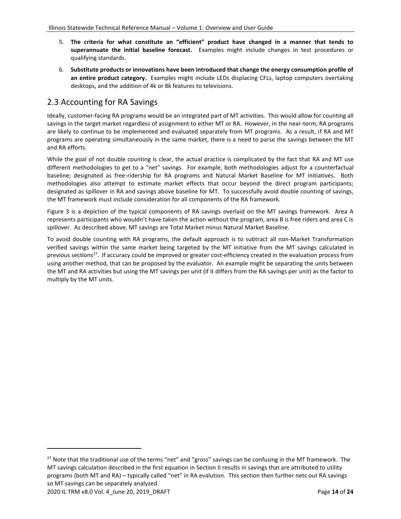- 5. **The criteria for what constitute an "efficient" product have changed in a manner that tends to superannuate the initial baseline forecast.** Examples might include changes in test procedures or qualifying standards.
- 6. **Substitute products or innovations have been introduced that change the energy consumption profile of an entire product category.** Examples might include LEDs displacing CFLs, laptop computers overtaking desktops, and the addition of 4k or 8k features to televisions.

## <span id="page-13-0"></span>2.3 Accounting for RA Savings

Ideally, customer-facing RA programs would be an integrated part of MT activities. This would allow for counting all savings in the target market regardless of assignment to either MT or RA. However, in the near-term, RA programs are likely to continue to be implemented and evaluated separately from MT programs. As a result, if RA and MT programs are operating simultaneously in the same market, there is a need to parse the savings between the MT and RA efforts.

While the goal of not double counting is clear, the actual practice is complicated by the fact that RA and MT use different methodologies to get to a "net" savings. For example, both methodologies adjust for a counterfactual baseline; designated as free-ridership for RA programs and Natural Market Baseline for MT initiatives. Both methodologies also attempt to estimate market effects that occur beyond the direct program participants; designated as spillover in RA and savings above baseline for MT. To successfully avoid double counting of savings, the MT framework must include consideration for all components of the RA framework.

Figure 3 is a depiction of the typical components of RA savings overlaid on the MT savings framework. Area A represents participants who wouldn't have taken the action without the program, area B is free riders and area C is spillover. As described above, MT savings are Total Market minus Natural Market Baseline.

To avoid double counting with RA programs, the default approach is to subtract all non-Market Transformation verified savings within the same market being targeted by the MT initiative from the MT savings calculated in previous sections<sup>27</sup>. If accuracy could be improved or greater cost-efficiency created in the evaluation process from using another method, that can be proposed by the evaluator. An example might be separating the units between the MT and RA activities but using the MT savings per unit (if it differs from the RA savings per unit) as the factor to multiply by the MT units.

<sup>&</sup>lt;sup>27</sup> Note that the traditional use of the terms "net" and "gross" savings can be confusing in the MT framework. The MT savings calculation described in the first equation in Section II results in savings that are attributed to utility programs (both MT and RA) – typically called "net" in RA evalution. This section then further nets out RA savings so MT savings can be separately analyzed.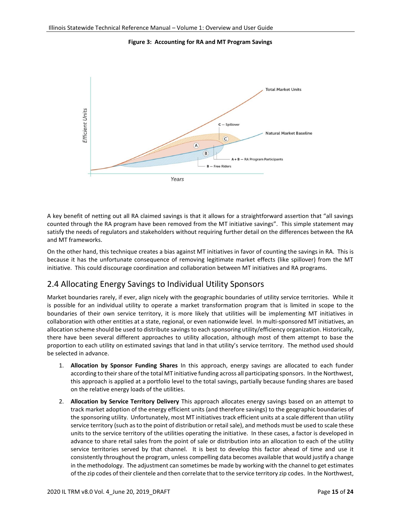**Figure 3: Accounting for RA and MT Program Savings** 



A key benefit of netting out all RA claimed savings is that it allows for a straightforward assertion that "all savings counted through the RA program have been removed from the MT initiative savings". This simple statement may satisfy the needs of regulators and stakeholders without requiring further detail on the differences between the RA and MT frameworks.

On the other hand, this technique creates a bias against MT initiatives in favor of counting the savings in RA. This is because it has the unfortunate consequence of removing legitimate market effects (like spillover) from the MT initiative. This could discourage coordination and collaboration between MT initiatives and RA programs.

## <span id="page-14-0"></span>2.4 Allocating Energy Savings to Individual Utility Sponsors

Market boundaries rarely, if ever, align nicely with the geographic boundaries of utility service territories. While it is possible for an individual utility to operate a market transformation program that is limited in scope to the boundaries of their own service territory, it is more likely that utilities will be implementing MT initiatives in collaboration with other entities at a state, regional, or even nationwide level. In multi-sponsored MT initiatives, an allocation scheme should be used to distribute savings to each sponsoring utility/efficiency organization. Historically, there have been several different approaches to utility allocation, although most of them attempt to base the proportion to each utility on estimated savings that land in that utility's service territory. The method used should be selected in advance.

- 1. **Allocation by Sponsor Funding Shares** In this approach, energy savings are allocated to each funder according to their share of the total MT initiative funding across all participating sponsors. In the Northwest, this approach is applied at a portfolio level to the total savings, partially because funding shares are based on the relative energy loads of the utilities.
- 2. **Allocation by Service Territory Delivery** This approach allocates energy savings based on an attempt to track market adoption of the energy efficient units (and therefore savings) to the geographic boundaries of the sponsoring utility. Unfortunately, most MT initiatives track efficient units at a scale different than utility service territory (such as to the point of distribution or retail sale), and methods must be used to scale these units to the service territory of the utilities operating the initiative. In these cases, a factor is developed in advance to share retail sales from the point of sale or distribution into an allocation to each of the utility service territories served by that channel. It is best to develop this factor ahead of time and use it consistently throughout the program, unless compelling data becomes available that would justify a change in the methodology. The adjustment can sometimes be made by working with the channel to get estimates of the zip codes of their clientele and then correlate that to the service territory zip codes. In the Northwest,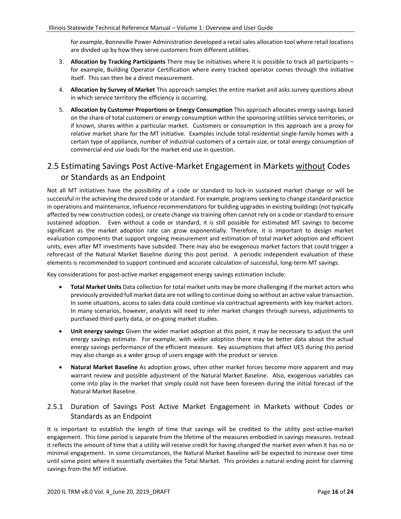for example, Bonneville Power Administration developed a retail sales allocation tool where retail locations are divided up by how they serve customers from different utilities.

- 3. **Allocation by Tracking Participants** There may be initiatives where it is possible to track all participants for example, Building Operator Certification where every tracked operator comes through the initiative itself. This can then be a direct measurement.
- 4. **Allocation by Survey of Market** This approach samples the entire market and asks survey questions about in which service territory the efficiency is occurring.
- 5. **Allocation by Customer Proportions or Energy Consumption** This approach allocates energy savings based on the share of total customers or energy consumption within the sponsoring utilities service territories, or if known, shares within a particular market. Customers or consumption in this approach are a proxy for relative market share for the MT initiative. Examples include total residential single-family homes with a certain type of appliance, number of industrial customers of a certain size, or total energy consumption of commercial end use loads for the market end use in question.

## <span id="page-15-0"></span>2.5 Estimating Savings Post Active-Market Engagement in Markets without Codes or Standards as an Endpoint

Not all MT initiatives have the possibility of a code or standard to lock-in sustained market change or will be successful in the achieving the desired code or standard. For example, programs seeking to change standard practice in operations and maintenance, influence recommendations for building upgrades in existing buildings (not typically affected by new construction codes), or create change via training often cannot rely on a code or standard to ensure sustained adoption. Even without a code or standard, it is still possible for estimated MT savings to become significant as the market adoption rate can grow exponentially. Therefore, it is important to design market evaluation components that support ongoing measurement and estimation of total market adoption and efficient units, even after MT investments have subsided. There may also be exogenous market factors that could trigger a reforecast of the Natural Market Baseline during this post period. A periodic independent evaluation of these elements is recommended to support continued and accurate calculation of successful, long-term MT savings.

Key considerations for post-active market engagement energy savings estimation include:

- **Total Market Units** Data collection for total market units may be more challenging if the market actors who previously provided full market data are not willing to continue doing so without an active value transaction. In some situations, access to sales data could continue via contractual agreements with key market actors. In many scenarios, however, analysts will need to infer market changes through surveys, adjustments to purchased third-party data, or on-going market studies.
- **Unit energy savings** Given the wider market adoption at this point, it may be necessary to adjust the unit energy savings estimate. For example, with wider adoption there may be better data about the actual energy savings performance of the efficient measure. Key assumptions that affect UES during this period may also change as a wider group of users engage with the product or service.
- **Natural Market Baseline** As adoption grows, often other market forces become more apparent and may warrant review and possible adjustment of the Natural Market Baseline. Also, exogenous variables can come into play in the market that simply could not have been foreseen during the initial forecast of the Natural Market Baseline.

#### <span id="page-15-1"></span>2.5.1 Duration of Savings Post Active Market Engagement in Markets without Codes or Standards as an Endpoint

It is important to establish the length of time that savings will be credited to the utility post-active-market engagement. This time period is separate from the lifetime of the measures embodied in savings measures. Instead it reflects the amount of time that a utility will receive credit for having changed the market even when it has no or minimal engagement. In some circumstances, the Natural Market Baseline will be expected to increase over time until some point where it essentially overtakes the Total Market. This provides a natural ending point for claiming savings from the MT initiative.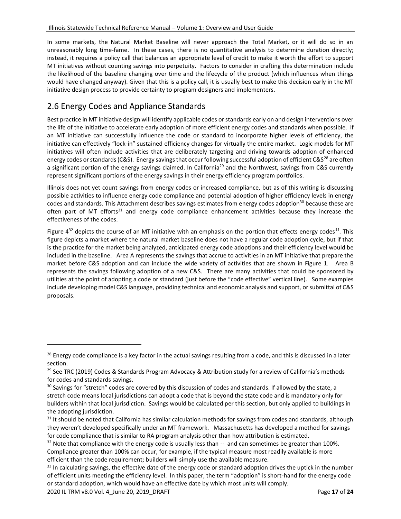In some markets, the Natural Market Baseline will never approach the Total Market, or it will do so in an unreasonably long time-fame. In these cases, there is no quantitative analysis to determine duration directly; instead, it requires a policy call that balances an appropriate level of credit to make it worth the effort to support MT initiatives without counting savings into perpetuity. Factors to consider in crafting this determination include the likelihood of the baseline changing over time and the lifecycle of the product (which influences when things would have changed anyway). Given that this is a policy call, it is usually best to make this decision early in the MT initiative design process to provide certainty to program designers and implementers.

## <span id="page-16-0"></span>2.6 Energy Codes and Appliance Standards

Best practice in MT initiative design will identify applicable codes or standards early on and design interventions over the life of the initiative to accelerate early adoption of more efficient energy codes and standards when possible. If an MT initiative can successfully influence the code or standard to incorporate higher levels of efficiency, the initiative can effectively "lock-in" sustained efficiency changes for virtually the entire market. Logic models for MT initiatives will often include activities that are deliberately targeting and driving towards adoption of enhanced energy codes or standards (C&S). Energy savings that occur following successful adoption of efficient C&S<sup>28</sup> are often a significant portion of the energy savings claimed. In California<sup>29</sup> and the Northwest, savings from C&S currently represent significant portions of the energy savings in their energy efficiency program portfolios.

Illinois does not yet count savings from energy codes or increased compliance, but as of this writing is discussing possible activities to influence energy code compliance and potential adoption of higher efficiency levels in energy codes and standards. This Attachment describes savings estimates from energy codes adoption<sup>30</sup> because these are often part of MT efforts<sup>31</sup> and energy code compliance enhancement activities because they increase the effectiveness of the codes.

Figure 4<sup>32</sup> depicts the course of an MT initiative with an emphasis on the portion that effects energy codes*<sup>33</sup>* . This figure depicts a market where the natural market baseline does not have a regular code adoption cycle, but if that is the practice for the market being analyzed, anticipated energy code adoptions and their efficiency level would be included in the baseline. Area A represents the savings that accrue to activities in an MT initiative that prepare the market before C&S adoption and can include the wide variety of activities that are shown in Figure 1. Area B represents the savings following adoption of a new C&S. There are many activities that could be sponsored by utilities at the point of adopting a code or standard (just before the "code effective" vertical line). Some examples include developing model C&S language, providing technical and economic analysis and support, or submittal of C&S proposals.

<sup>&</sup>lt;sup>28</sup> Energy code compliance is a key factor in the actual savings resulting from a code, and this is discussed in a later section.

<sup>&</sup>lt;sup>29</sup> See TRC (2019) Codes & Standards Program Advocacy & Attribution study for a review of California's methods for codes and standards savings.

<sup>&</sup>lt;sup>30</sup> Savings for "stretch" codes are covered by this discussion of codes and standards. If allowed by the state, a stretch code means local jurisdictions can adopt a code that is beyond the state code and is mandatory only for builders within that local jurisdiction. Savings would be calculated per this section, but only applied to buildings in the adopting jurisdiction.

 $31$  It should be noted that California has similar calculation methods for savings from codes and standards, although they weren't developed specifically under an MT framework. Massachusetts has developed a method for savings for code compliance that is similar to RA program analysis other than how attribution is estimated.

 $32$  Note that compliance with the energy code is usually less than  $-$  and can sometimes be greater than 100%. Compliance greater than 100% can occur, for example, if the typical measure most readily available is more efficient than the code requirement; builders will simply use the available measure.

<sup>&</sup>lt;sup>33</sup> In calculating savings, the effective date of the energy code or standard adoption drives the uptick in the number of efficient units meeting the efficiency level. In this paper, the term "adoption" is short-hand for the energy code or standard adoption, which would have an effective date by which most units will comply.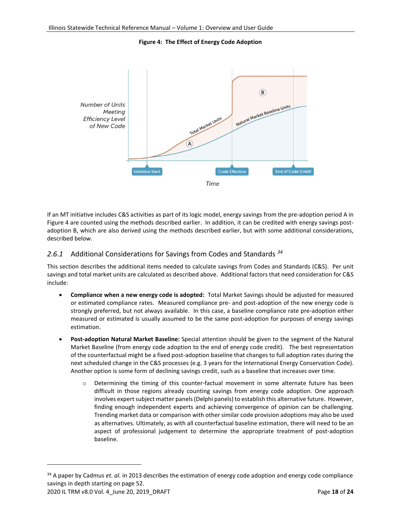**Figure 4: The Effect of Energy Code Adoption**



If an MT initiative includes C&S activities as part of its logic model, energy savings from the pre-adoption period A in Figure 4 are counted using the methods described earlier. In addition, it can be credited with energy savings postadoption B, which are also derived using the methods described earlier, but with some additional considerations, described below.

#### <span id="page-17-0"></span>*2.6.1* Additional Considerations for Savings from Codes and Standards *<sup>34</sup>*

This section describes the additional items needed to calculate savings from Codes and Standards (C&S). Per unit savings and total market units are calculated as described above. Additional factors that need consideration for C&S include:

- **Compliance when a new energy code is adopted:** Total Market Savings should be adjusted for measured or estimated compliance rates. Measured compliance pre- and post-adoption of the new energy code is strongly preferred, but not always available. In this case, a baseline compliance rate pre-adoption either measured or estimated is usually assumed to be the same post-adoption for purposes of energy savings estimation.
- **Post-adoption Natural Market Baseline:** Special attention should be given to the segment of the Natural Market Baseline (from energy code adoption to the end of energy code credit). The best representation of the counterfactual might be a fixed post-adoption baseline that changes to full adoption rates during the next scheduled change in the C&S processes (e.g. 3 years for the International Energy Conservation Code). Another option is some form of declining savings credit, such as a baseline that increases over time.
	- $\circ$  Determining the timing of this counter-factual movement in some alternate future has been difficult in those regions already counting savings from energy code adoption. One approach involves expert subject matter panels (Delphi panels) to establish this alternative future. However, finding enough independent experts and achieving convergence of opinion can be challenging. Trending market data or comparison with other similar code provision adoptions may also be used as alternatives. Ultimately, as with all counterfactual baseline estimation, there will need to be an aspect of professional judgement to determine the appropriate treatment of post-adoption baseline.

<sup>&</sup>lt;sup>34</sup> A paper by Cadmus *et. al.* in 2013 describes the estimation of energy code adoption and energy code compliance savings in depth starting on page 52.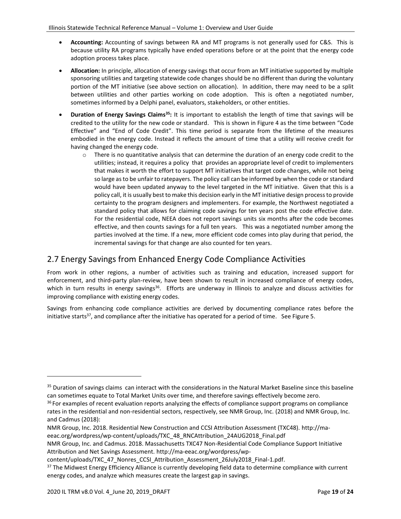- **Accounting:** Accounting of savings between RA and MT programs is not generally used for C&S. This is because utility RA programs typically have ended operations before or at the point that the energy code adoption process takes place.
- **Allocation:** In principle, allocation of energy savings that occur from an MT initiative supported by multiple sponsoring utilities and targeting statewide code changes should be no different than during the voluntary portion of the MT initiative (see above section on allocation). In addition, there may need to be a split between utilities and other parties working on code adoption. This is often a negotiated number, sometimes informed by a Delphi panel, evaluators, stakeholders, or other entities.
- **Duration of Energy Savings Claims<sup>35</sup>:** It is important to establish the length of time that savings will be credited to the utility for the new code or standard. This is shown in Figure 4 as the time between "Code Effective" and "End of Code Credit". This time period is separate from the lifetime of the measures embodied in the energy code. Instead it reflects the amount of time that a utility will receive credit for having changed the energy code.
	- $\circ$  There is no quantitative analysis that can determine the duration of an energy code credit to the utilities; instead, it requires a policy that provides an appropriate level of credit to implementers that makes it worth the effort to support MT initiatives that target code changes, while not being so large as to be unfair to ratepayers. The policy call can be informed by when the code or standard would have been updated anyway to the level targeted in the MT initiative. Given that this is a policy call, it is usually best to make this decision early in the MT initiative design process to provide certainty to the program designers and implementers. For example, the Northwest negotiated a standard policy that allows for claiming code savings for ten years post the code effective date. For the residential code, NEEA does not report savings units six months after the code becomes effective, and then counts savings for a full ten years. This was a negotiated number among the parties involved at the time. If a new, more efficient code comes into play during that period, the incremental savings for that change are also counted for ten years.

## <span id="page-18-0"></span>2.7 Energy Savings from Enhanced Energy Code Compliance Activities

From work in other regions, a number of activities such as training and education, increased support for enforcement, and third-party plan-review, have been shown to result in increased compliance of energy codes, which in turn results in energy savings<sup>36</sup>. Efforts are underway in Illinois to analyze and discuss activities for improving compliance with existing energy codes.

Savings from enhancing code compliance activities are derived by documenting compliance rates before the initiative starts<sup>37</sup>, and compliance after the initiative has operated for a period of time. See Figure 5.

<sup>&</sup>lt;sup>35</sup> Duration of savings claims can interact with the considerations in the Natural Market Baseline since this baseline can sometimes equate to Total Market Units over time, and therefore savings effectively become zero.

<sup>&</sup>lt;sup>36</sup> For examples of recent evaluation reports analyzing the effects of compliance support programs on compliance rates in the residential and non-residential sectors, respectively, see NMR Group, Inc. (2018) and NMR Group, Inc. and Cadmus (2018):

NMR Group, Inc. 2018. Residential New Construction and CCSI Attribution Assessment (TXC48)[. http://ma-](http://ma-eeac.org/wordpress/wp-content/uploads/TXC_48_RNCAttribution_24AUG2018_Final.pdf)

[eeac.org/wordpress/wp-content/uploads/TXC\\_48\\_RNCAttribution\\_24AUG2018\\_Final.pdf](http://ma-eeac.org/wordpress/wp-content/uploads/TXC_48_RNCAttribution_24AUG2018_Final.pdf)

NMR Group, Inc. and Cadmus. 2018. Massachusetts TXC47 Non-Residential Code Compliance Support Initiative Attribution and Net Savings Assessment. [http://ma-eeac.org/wordpress/wp-](http://ma-eeac.org/wordpress/wp-content/uploads/TXC_47_Nonres_CCSI_Attribution_Assessment_26July2018_Final-1.pdf)

[content/uploads/TXC\\_47\\_Nonres\\_CCSI\\_Attribution\\_Assessment\\_26July2018\\_Final-1.pdf.](http://ma-eeac.org/wordpress/wp-content/uploads/TXC_47_Nonres_CCSI_Attribution_Assessment_26July2018_Final-1.pdf)

<sup>&</sup>lt;sup>37</sup> The Midwest Energy Efficiency Alliance is currently developing field data to determine compliance with current energy codes, and analyze which measures create the largest gap in savings.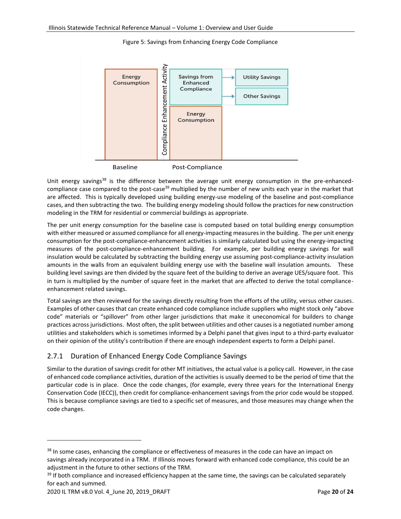

Figure 5: Savings from Enhancing Energy Code Compliance



Unit energy savings<sup>38</sup> is the difference between the average unit energy consumption in the pre-enhancedcompliance case compared to the post-case<sup>39</sup> multiplied by the number of new units each year in the market that are affected. This is typically developed using building energy-use modeling of the baseline and post-compliance cases, and then subtracting the two. The building energy modeling should follow the practices for new construction modeling in the TRM for residential or commercial buildings as appropriate.

The per unit energy consumption for the baseline case is computed based on total building energy consumption with either measured or assumed compliance for all energy-impacting measures in the building. The per unit energy consumption for the post-compliance-enhancement activities is similarly calculated but using the energy-impacting measures of the post-compliance-enhancement building. For example, per building energy savings for wall insulation would be calculated by subtracting the building energy use assuming post-compliance-activity insulation amounts in the walls from an equivalent building energy use with the baseline wall insulation amounts. These building level savings are then divided by the square feet of the building to derive an average UES/square foot. This in turn is multiplied by the number of square feet in the market that are affected to derive the total complianceenhancement related savings.

Total savings are then reviewed for the savings directly resulting from the efforts of the utility, versus other causes. Examples of other causes that can create enhanced code compliance include suppliers who might stock only "above code" materials or "spillover" from other larger jurisdictions that make it uneconomical for builders to change practices across jurisdictions. Most often, the split between utilities and other causes is a negotiated number among utilities and stakeholders which is sometimes informed by a Delphi panel that gives input to a third-party evaluator on their opinion of the utility's contribution if there are enough independent experts to form a Delphi panel.

### <span id="page-19-0"></span>2.7.1 Duration of Enhanced Energy Code Compliance Savings

Similar to the duration of savings credit for other MT initiatives, the actual value is a policy call. However, in the case of enhanced code compliance activities, duration of the activities is usually deemed to be the period of time that the particular code is in place. Once the code changes, (for example, every three years for the International Energy Conservation Code (IECC)), then credit for compliance-enhancement savings from the prior code would be stopped. This is because compliance savings are tied to a specific set of measures, and those measures may change when the code changes.

<sup>&</sup>lt;sup>38</sup> In some cases, enhancing the compliance or effectiveness of measures in the code can have an impact on savings already incorporated in a TRM. If Illinois moves forward with enhanced code compliance, this could be an adjustment in the future to other sections of the TRM.

<sup>&</sup>lt;sup>39</sup> If both compliance and increased efficiency happen at the same time, the savings can be calculated separately for each and summed.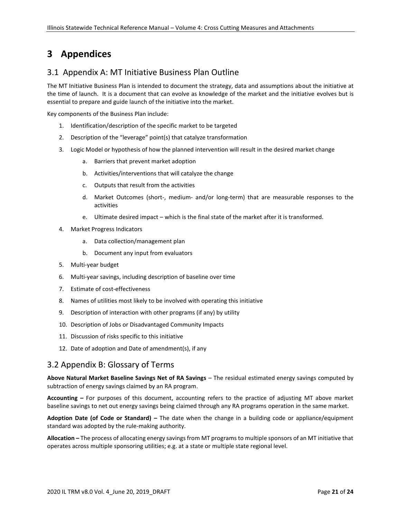## <span id="page-20-0"></span>**3 Appendices**

### <span id="page-20-1"></span>3.1 Appendix A: MT Initiative Business Plan Outline

The MT Initiative Business Plan is intended to document the strategy, data and assumptions about the initiative at the time of launch. It is a document that can evolve as knowledge of the market and the initiative evolves but is essential to prepare and guide launch of the initiative into the market.

Key components of the Business Plan include:

- 1. Identification/description of the specific market to be targeted
- 2. Description of the "leverage" point(s) that catalyze transformation
- 3. Logic Model or hypothesis of how the planned intervention will result in the desired market change
	- a. Barriers that prevent market adoption
	- b. Activities/interventions that will catalyze the change
	- c. Outputs that result from the activities
	- d. Market Outcomes (short-, medium- and/or long-term) that are measurable responses to the activities
	- e. Ultimate desired impact which is the final state of the market after it is transformed.
- 4. Market Progress Indicators
	- a. Data collection/management plan
	- b. Document any input from evaluators
- 5. Multi-year budget
- 6. Multi-year savings, including description of baseline over time
- 7. Estimate of cost-effectiveness
- 8. Names of utilities most likely to be involved with operating this initiative
- 9. Description of interaction with other programs (if any) by utility
- 10. Description of Jobs or Disadvantaged Community Impacts
- 11. Discussion of risks specific to this initiative
- 12. Date of adoption and Date of amendment(s), if any

### <span id="page-20-2"></span>3.2 Appendix B: Glossary of Terms

**Above Natural Market Baseline Savings Net of RA Savings** – The residual estimated energy savings computed by subtraction of energy savings claimed by an RA program.

**Accounting –** For purposes of this document, accounting refers to the practice of adjusting MT above market baseline savings to net out energy savings being claimed through any RA programs operation in the same market.

**Adoption Date (of Code or Standard) –** The date when the change in a building code or appliance/equipment standard was adopted by the rule-making authority.

**Allocation –** The process of allocating energy savings from MT programs to multiple sponsors of an MT initiative that operates across multiple sponsoring utilities; e.g. at a state or multiple state regional level.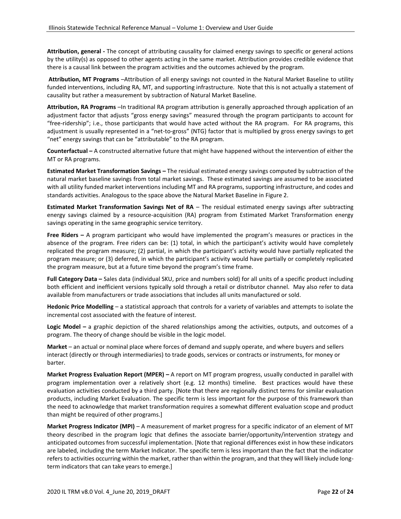**Attribution, general -** The concept of attributing causality for claimed energy savings to specific or general actions by the utility(s) as opposed to other agents acting in the same market. Attribution provides credible evidence that there is a causal link between the program activities and the outcomes achieved by the program.

**Attribution, MT Programs** –Attribution of all energy savings not counted in the Natural Market Baseline to utility funded interventions, including RA, MT, and supporting infrastructure. Note that this is not actually a statement of causality but rather a measurement by subtraction of Natural Market Baseline.

**Attribution, RA Programs** –In traditional RA program attribution is generally approached through application of an adjustment factor that adjusts "gross energy savings" measured through the program participants to account for "free-ridership"; i.e., those participants that would have acted without the RA program. For RA programs, this adjustment is usually represented in a "net-to-gross" (NTG) factor that is multiplied by gross energy savings to get "net" energy savings that can be "attributable" to the RA program.

**Counterfactual –** A constructed alternative future that might have happened without the intervention of either the MT or RA programs.

**Estimated Market Transformation Savings –** The residual estimated energy savings computed by subtraction of the natural market baseline savings from total market savings. These estimated savings are assumed to be associated with all utility funded market interventions including MT and RA programs, supporting infrastructure, and codes and standards activities. Analogous to the space above the Natural Market Baseline in Figure 2.

**Estimated Market Transformation Savings Net of RA** – The residual estimated energy savings after subtracting energy savings claimed by a resource-acquisition (RA) program from Estimated Market Transformation energy savings operating in the same geographic service territory.

**Free Riders –** A program participant who would have implemented the program's measures or practices in the absence of the program. Free riders can be: (1) total, in which the participant's activity would have completely replicated the program measure; (2) partial, in which the participant's activity would have partially replicated the program measure; or (3) deferred, in which the participant's activity would have partially or completely replicated the program measure, but at a future time beyond the program's time frame.

**Full Category Data –** Sales data (individual SKU, price and numbers sold) for all units of a specific product including both efficient and inefficient versions typically sold through a retail or distributor channel. May also refer to data available from manufacturers or trade associations that includes all units manufactured or sold.

**Hedonic Price Modelling** – a statistical approach that controls for a variety of variables and attempts to isolate the incremental cost associated with the feature of interest.

**Logic Model –** a graphic depiction of the shared relationships among the activities, outputs, and outcomes of a program. The theory of change should be visible in the logic model.

**Market** – an actual or nominal place where forces of demand and supply operate, and where buyers and sellers interact (directly or through intermediaries) to trade goods, services or contracts or instruments, for money or barter.

**Market Progress Evaluation Report (MPER) –** A report on MT program progress, usually conducted in parallel with program implementation over a relatively short (e.g. 12 months) timeline. Best practices would have these evaluation activities conducted by a third party. [Note that there are regionally distinct terms for similar evaluation products, including Market Evaluation. The specific term is less important for the purpose of this framework than the need to acknowledge that market transformation requires a somewhat different evaluation scope and product than might be required of other programs.]

**Market Progress Indicator (MPI)** – A measurement of market progress for a specific indicator of an element of MT theory described in the program logic that defines the associate barrier/opportunity/intervention strategy and anticipated outcomes from successful implementation. [Note that regional differences exist in how these indicators are labeled, including the term Market Indicator. The specific term is less important than the fact that the indicator refers to activities occurring within the market, rather than within the program, and that they will likely include longterm indicators that can take years to emerge.]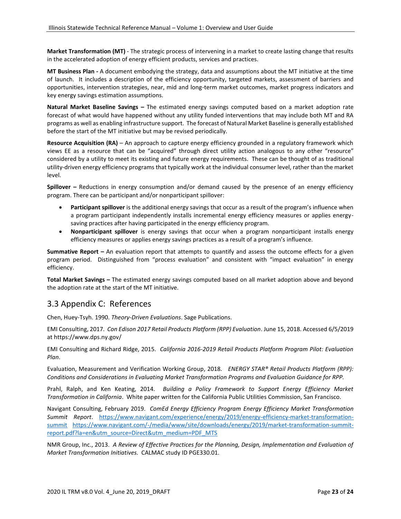**Market Transformation (MT)** - The strategic process of intervening in a market to create lasting change that results in the accelerated adoption of energy efficient products, services and practices.

**MT Business Plan -** A document embodying the strategy, data and assumptions about the MT initiative at the time of launch. It includes a description of the efficiency opportunity, targeted markets, assessment of barriers and opportunities, intervention strategies, near, mid and long-term market outcomes, market progress indicators and key energy savings estimation assumptions.

**Natural Market Baseline Savings –** The estimated energy savings computed based on a market adoption rate forecast of what would have happened without any utility funded interventions that may include both MT and RA programs as well as enabling infrastructure support. The forecast of Natural Market Baseline is generally established before the start of the MT initiative but may be revised periodically.

**Resource Acquisition (RA)** – An approach to capture energy efficiency grounded in a regulatory framework which views EE as a resource that can be "acquired" through direct utility action analogous to any other "resource" considered by a utility to meet its existing and future energy requirements. These can be thought of as traditional utility-driven energy efficiency programs that typically work at the individual consumer level, rather than the market level.

**Spillover –** Reductions in energy consumption and/or demand caused by the presence of an energy efficiency program. There can be participant and/or nonparticipant spillover:

- **Participant spillover** is the additional energy savings that occur as a result of the program's influence when a program participant independently installs incremental energy efficiency measures or applies energysaving practices after having participated in the energy efficiency program.
- **Nonparticipant spillover** is energy savings that occur when a program nonparticipant installs energy efficiency measures or applies energy savings practices as a result of a program's influence.

**Summative Report –** An evaluation report that attempts to quantify and assess the outcome effects for a given program period. Distinguished from "process evaluation" and consistent with "impact evaluation" in energy efficiency.

**Total Market Savings –** The estimated energy savings computed based on all market adoption above and beyond the adoption rate at the start of the MT initiative.

## <span id="page-22-0"></span>3.3 Appendix C: References

Chen, Huey-Tsyh. 1990. *Theory-Driven Evaluations*. Sage Publications.

EMI Consulting, 2017. *Con Edison 2017 Retail Products Platform (RPP) Evaluation*. June 15, 2018. Accessed 6/5/2019 at https://www.dps.ny.gov/

EMI Consulting and Richard Ridge, 2015. *California 2016-2019 Retail Products Platform Program Pilot: Evaluation Plan*.

Evaluation, Measurement and Verification Working Group, 2018. *ENERGY STAR® Retail Products Platform (RPP): Conditions and Considerations in Evaluating Market Transformation Programs and Evaluation Guidance for RPP.* 

Prahl, Ralph, and Ken Keating, 2014. *Building a Policy Framework to Support Energy Efficiency Market Transformation in California*. White paper written for the California Public Utilities Commission, San Francisco.

Navigant Consulting, February 2019. *ComEd Energy Efficiency Program Energy Efficiency Market Transformation Summit Report*. [https://www.navigant.com/experience/energy/2019/energy-efficiency-market-transformation](https://www.navigant.com/experience/energy/2019/energy-efficiency-market-transformation-summit)[summit](https://www.navigant.com/experience/energy/2019/energy-efficiency-market-transformation-summit) [https://www.navigant.com/-/media/www/site/downloads/energy/2019/market-transformation-summit](https://www.navigant.com/-/media/www/site/downloads/energy/2019/market-transformation-summit-report.pdf?la=en&utm_source=Direct&utm_medium=PDF_MTS)[report.pdf?la=en&utm\\_source=Direct&utm\\_medium=PDF\\_MTS](https://www.navigant.com/-/media/www/site/downloads/energy/2019/market-transformation-summit-report.pdf?la=en&utm_source=Direct&utm_medium=PDF_MTS)

NMR Group, Inc., 2013. *A Review of Effective Practices for the Planning, Design, Implementation and Evaluation of Market Transformation Initiatives.* CALMAC study ID PGE330.01.